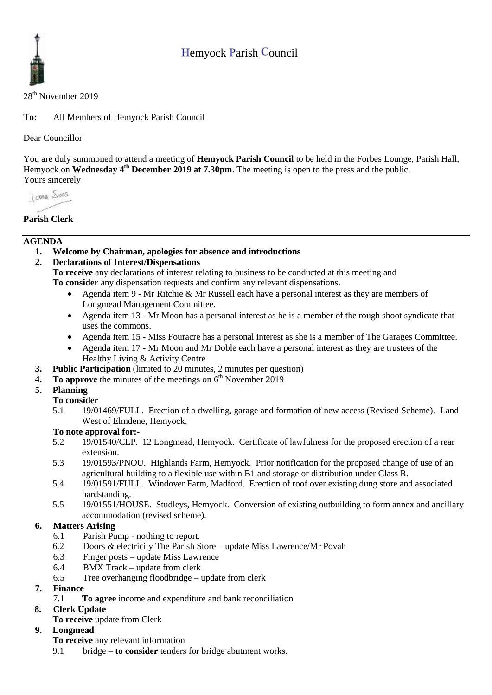# Hemyock Parish Council



### 28th November 2019

**To:** All Members of Hemyock Parish Council

### Dear Councillor

You are duly summoned to attend a meeting of **Hemyock Parish Council** to be held in the Forbes Lounge, Parish Hall, Hemyock on **Wednesday** 4<sup>th</sup> December 2019 at 7.30pm. The meeting is open to the press and the public. Yours sincerely

Jame Sans

### **Parish Clerk**

### **AGENDA**

**1. Welcome by Chairman, apologies for absence and introductions**

# **2. Declarations of Interest/Dispensations**

**To receive** any declarations of interest relating to business to be conducted at this meeting and **To consider** any dispensation requests and confirm any relevant dispensations.

- Agenda item 9 Mr Ritchie & Mr Russell each have a personal interest as they are members of Longmead Management Committee.
- Agenda item 13 Mr Moon has a personal interest as he is a member of the rough shoot syndicate that uses the commons.
- Agenda item 15 Miss Fouracre has a personal interest as she is a member of The Garages Committee.
- Agenda item 17 Mr Moon and Mr Doble each have a personal interest as they are trustees of the Healthy Living & Activity Centre
- **3. Public Participation** (limited to 20 minutes, 2 minutes per question)
- **4.** To approve the minutes of the meetings on  $6<sup>th</sup>$  November 2019

### **5. Planning**

### **To consider**

5.1 19/01469/FULL. Erection of a dwelling, garage and formation of new access (Revised Scheme). Land West of Elmdene, Hemyock.

### **To note approval for:-**

- 5.2 19/01540/CLP. 12 Longmead, Hemyock. Certificate of lawfulness for the proposed erection of a rear extension.
- 5.3 19/01593/PNOU. Highlands Farm, Hemyock. Prior notification for the proposed change of use of an agricultural building to a flexible use within B1 and storage or distribution under Class R.
- 5.4 19/01591/FULL. Windover Farm, Madford. Erection of roof over existing dung store and associated hardstanding.
- 5.5 19/01551/HOUSE. Studleys, Hemyock. Conversion of existing outbuilding to form annex and ancillary accommodation (revised scheme).

# **6. Matters Arising**

- 6.1 Parish Pump nothing to report.
- 6.2 Doors & electricity The Parish Store update Miss Lawrence/Mr Povah
- 6.3 Finger posts update Miss Lawrence
- 6.4 BMX Track update from clerk
- 6.5 Tree overhanging floodbridge update from clerk

# **7. Finance**

- 7.1 **To agree** income and expenditure and bank reconciliation
- **8. Clerk Update** 
	- **To receive** update from Clerk

# **9. Longmead**

- **To receive** any relevant information
- 9.1 bridge **to consider** tenders for bridge abutment works.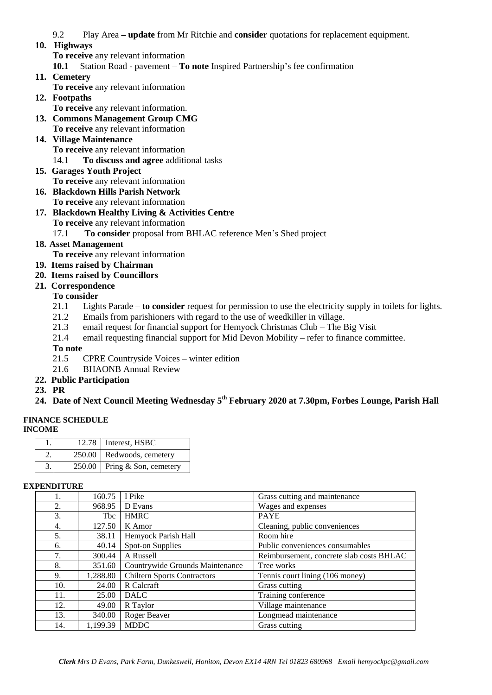9.2 Play Area **– update** from Mr Ritchie and **consider** quotations for replacement equipment.

### **10. Highways**

**To receive** any relevant information

**10.1** Station Road - pavement – **To note** Inspired Partnership's fee confirmation

**11. Cemetery** 

**To receive** any relevant information

- **12. Footpaths**
- **To receive** any relevant information. **13. Commons Management Group CMG**
- **To receive** any relevant information
- **14. Village Maintenance To receive** any relevant information
	- 14.1 **To discuss and agree** additional tasks
- **15. Garages Youth Project To receive** any relevant information
- **16. Blackdown Hills Parish Network To receive** any relevant information
- **17. Blackdown Healthy Living & Activities Centre To receive** any relevant information
	- 17.1 **To consider** proposal from BHLAC reference Men's Shed project
- **18. Asset Management** 
	- **To receive** any relevant information
- **19. Items raised by Chairman**
- **20. Items raised by Councillors**
- **21. Correspondence**

### **To consider**

- 21.1 Lights Parade **to consider** request for permission to use the electricity supply in toilets for lights.
- 21.2 Emails from parishioners with regard to the use of weedkiller in village.
- 21.3 email request for financial support for Hemyock Christmas Club The Big Visit
- 21.4 email requesting financial support for Mid Devon Mobility refer to finance committee.

### **To note**

- 21.5 CPRE Countryside Voices winter edition
- 21.6 BHAONB Annual Review
- **22. Public Participation**
- **23. PR**
- **24. Date of Next Council Meeting Wednesday 5 th February 2020 at 7.30pm, Forbes Lounge, Parish Hall**

### **FINANCE SCHEDULE**

**INCOME**

|  | 12.78   Interest, HSBC         |
|--|--------------------------------|
|  | 250.00   Redwoods, cemetery    |
|  | 250.00   Pring & Son, cemetery |

### **EXPENDITURE**

|     | 160.75     | I Pike                             | Grass cutting and maintenance            |
|-----|------------|------------------------------------|------------------------------------------|
| 2.  | 968.95     | D Evans                            | Wages and expenses                       |
| 3.  | <b>Tbc</b> | <b>HMRC</b>                        | <b>PAYE</b>                              |
| 4.  | 127.50     | K Amor                             | Cleaning, public conveniences            |
| 5.  | 38.11      | Hemyock Parish Hall                | Room hire                                |
| 6.  | 40.14      | Spot-on Supplies                   | Public conveniences consumables          |
| 7.  | 300.44     | A Russell                          | Reimbursement, concrete slab costs BHLAC |
| 8.  | 351.60     | Countrywide Grounds Maintenance    | Tree works                               |
| 9.  | 1,288.80   | <b>Chiltern Sports Contractors</b> | Tennis court lining (106 money)          |
| 10. | 24.00      | R Calcraft                         | Grass cutting                            |
| 11. | 25.00      | <b>DALC</b>                        | Training conference                      |
| 12. | 49.00      | R Taylor                           | Village maintenance                      |
| 13. | 340.00     | Roger Beaver                       | Longmead maintenance                     |
| 14. | 1,199.39   | <b>MDDC</b>                        | Grass cutting                            |